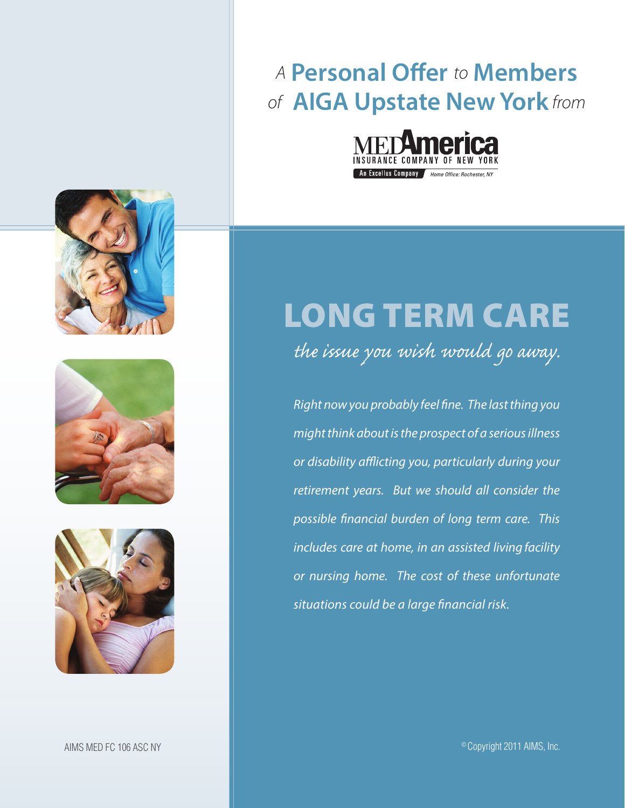# *A* **Personal Offer** *to* **Members** *of* **AIGA Upstate New York** *from*





*the issue you wish would go away.*

*Right now you probably feel fine. The last thing you might think about is the prospect of a serious illness or disability afflicting you, particularly during your retirement years. But we should all consider the possible financial burden of long term care. This includes care at home, in an assisted living facility or nursing home. The cost of these unfortunate situations could be a large financial risk.*